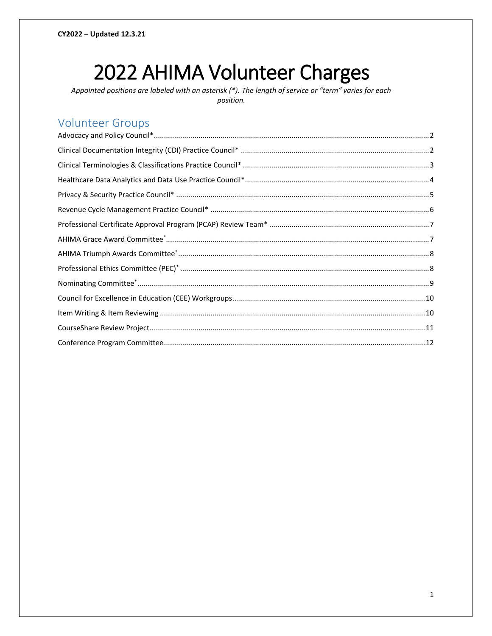# 2022 AHIMA Volunteer Charges

Appointed positions are labeled with an asterisk (\*). The length of service or "term" varies for each position.

# **Volunteer Groups**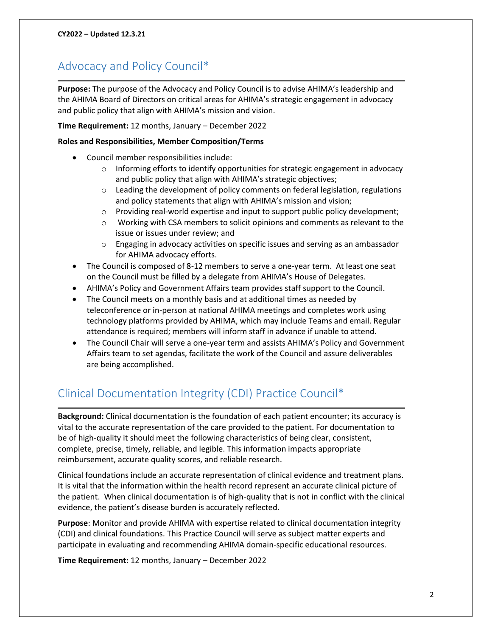# <span id="page-1-0"></span>Advocacy and Policy Council\*

**Purpose:** The purpose of the Advocacy and Policy Council is to advise AHIMA's leadership and the AHIMA Board of Directors on critical areas for AHIMA's strategic engagement in advocacy and public policy that align with AHIMA's mission and vision.

**Time Requirement:** 12 months, January – December 2022

#### **Roles and Responsibilities, Member Composition/Terms**

- Council member responsibilities include:
	- $\circ$  Informing efforts to identify opportunities for strategic engagement in advocacy and public policy that align with AHIMA's strategic objectives;
	- o Leading the development of policy comments on federal legislation, regulations and policy statements that align with AHIMA's mission and vision;
	- o Providing real-world expertise and input to support public policy development;
	- $\circ$  Working with CSA members to solicit opinions and comments as relevant to the issue or issues under review; and
	- o Engaging in advocacy activities on specific issues and serving as an ambassador for AHIMA advocacy efforts.
- The Council is composed of 8-12 members to serve a one-year term. At least one seat on the Council must be filled by a delegate from AHIMA's House of Delegates.
- AHIMA's Policy and Government Affairs team provides staff support to the Council.
- The Council meets on a monthly basis and at additional times as needed by teleconference or in-person at national AHIMA meetings and completes work using technology platforms provided by AHIMA, which may include Teams and email. Regular attendance is required; members will inform staff in advance if unable to attend.
- The Council Chair will serve a one-year term and assists AHIMA's Policy and Government Affairs team to set agendas, facilitate the work of the Council and assure deliverables are being accomplished.

# <span id="page-1-1"></span>Clinical Documentation Integrity (CDI) Practice Council\*

**Background:** Clinical documentation is the foundation of each patient encounter; its accuracy is vital to the accurate representation of the care provided to the patient. For documentation to be of high-quality it should meet the following characteristics of being clear, consistent, complete, precise, timely, reliable, and legible. This information impacts appropriate reimbursement, accurate quality scores, and reliable research.

Clinical foundations include an accurate representation of clinical evidence and treatment plans. It is vital that the information within the health record represent an accurate clinical picture of the patient. When clinical documentation is of high-quality that is not in conflict with the clinical evidence, the patient's disease burden is accurately reflected.

**Purpose**: Monitor and provide AHIMA with expertise related to clinical documentation integrity (CDI) and clinical foundations. This Practice Council will serve as subject matter experts and participate in evaluating and recommending AHIMA domain-specific educational resources.

**Time Requirement:** 12 months, January – December 2022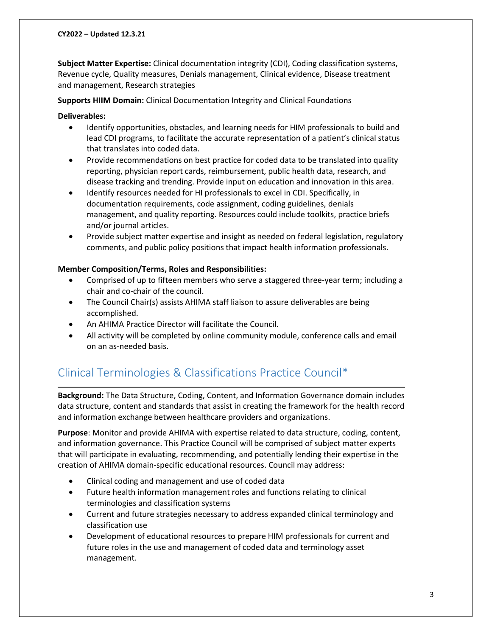**Subject Matter Expertise:** Clinical documentation integrity (CDI), Coding classification systems, Revenue cycle, Quality measures, Denials management, Clinical evidence, Disease treatment and management, Research strategies

**Supports HIIM Domain:** Clinical Documentation Integrity and Clinical Foundations

#### **Deliverables:**

- Identify opportunities, obstacles, and learning needs for HIM professionals to build and lead CDI programs, to facilitate the accurate representation of a patient's clinical status that translates into coded data.
- Provide recommendations on best practice for coded data to be translated into quality reporting, physician report cards, reimbursement, public health data, research, and disease tracking and trending. Provide input on education and innovation in this area.
- Identify resources needed for HI professionals to excel in CDI. Specifically, in documentation requirements, code assignment, coding guidelines, denials management, and quality reporting. Resources could include toolkits, practice briefs and/or journal articles.
- Provide subject matter expertise and insight as needed on federal legislation, regulatory comments, and public policy positions that impact health information professionals.

#### **Member Composition/Terms, Roles and Responsibilities:**

- Comprised of up to fifteen members who serve a staggered three-year term; including a chair and co-chair of the council.
- The Council Chair(s) assists AHIMA staff liaison to assure deliverables are being accomplished.
- An AHIMA Practice Director will facilitate the Council.
- All activity will be completed by online community module, conference calls and email on an as-needed basis.

# <span id="page-2-0"></span>Clinical Terminologies & Classifications Practice Council\*

**Background:** The Data Structure, Coding, Content, and Information Governance domain includes data structure, content and standards that assist in creating the framework for the health record and information exchange between healthcare providers and organizations.

**Purpose**: Monitor and provide AHIMA with expertise related to data structure, coding, content, and information governance. This Practice Council will be comprised of subject matter experts that will participate in evaluating, recommending, and potentially lending their expertise in the creation of AHIMA domain-specific educational resources. Council may address:

- Clinical coding and management and use of coded data
- Future health information management roles and functions relating to clinical terminologies and classification systems
- Current and future strategies necessary to address expanded clinical terminology and classification use
- Development of educational resources to prepare HIM professionals for current and future roles in the use and management of coded data and terminology asset management.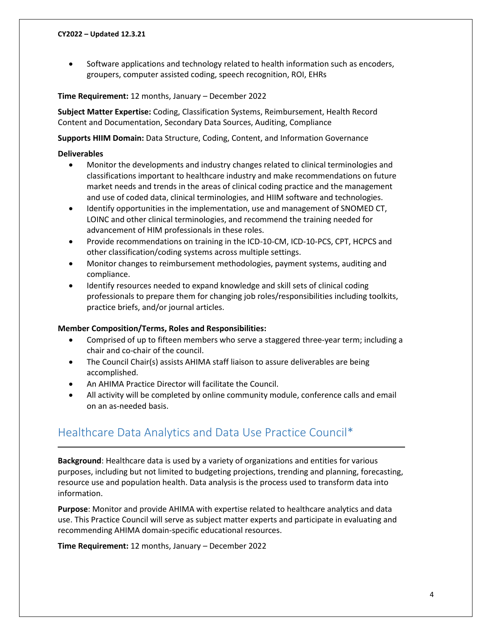• Software applications and technology related to health information such as encoders, groupers, computer assisted coding, speech recognition, ROI, EHRs

#### **Time Requirement:** 12 months, January – December 2022

**Subject Matter Expertise:** Coding, Classification Systems, Reimbursement, Health Record Content and Documentation, Secondary Data Sources, Auditing, Compliance

**Supports HIIM Domain:** Data Structure, Coding, Content, and Information Governance

#### **Deliverables**

- Monitor the developments and industry changes related to clinical terminologies and classifications important to healthcare industry and make recommendations on future market needs and trends in the areas of clinical coding practice and the management and use of coded data, clinical terminologies, and HIIM software and technologies.
- Identify opportunities in the implementation, use and management of SNOMED CT, LOINC and other clinical terminologies, and recommend the training needed for advancement of HIM professionals in these roles.
- Provide recommendations on training in the ICD-10-CM, ICD-10-PCS, CPT, HCPCS and other classification/coding systems across multiple settings.
- Monitor changes to reimbursement methodologies, payment systems, auditing and compliance.
- Identify resources needed to expand knowledge and skill sets of clinical coding professionals to prepare them for changing job roles/responsibilities including toolkits, practice briefs, and/or journal articles.

#### **Member Composition/Terms, Roles and Responsibilities:**

- Comprised of up to fifteen members who serve a staggered three-year term; including a chair and co-chair of the council.
- The Council Chair(s) assists AHIMA staff liaison to assure deliverables are being accomplished.
- An AHIMA Practice Director will facilitate the Council.
- All activity will be completed by online community module, conference calls and email on an as-needed basis.

# <span id="page-3-0"></span>Healthcare Data Analytics and Data Use Practice Council\*

**Background**: Healthcare data is used by a variety of organizations and entities for various purposes, including but not limited to budgeting projections, trending and planning, forecasting, resource use and population health. Data analysis is the process used to transform data into information.

**Purpose**: Monitor and provide AHIMA with expertise related to healthcare analytics and data use. This Practice Council will serve as subject matter experts and participate in evaluating and recommending AHIMA domain-specific educational resources.

**Time Requirement:** 12 months, January – December 2022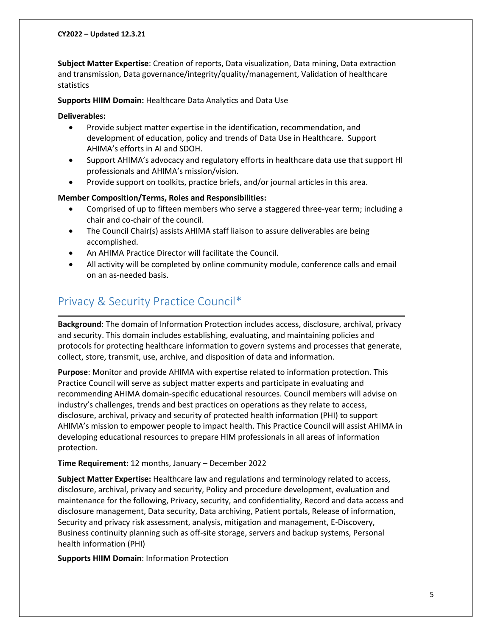**Subject Matter Expertise**: Creation of reports, Data visualization, Data mining, Data extraction and transmission, Data governance/integrity/quality/management, Validation of healthcare statistics

**Supports HIIM Domain:** Healthcare Data Analytics and Data Use

#### **Deliverables:**

- Provide subject matter expertise in the identification, recommendation, and development of education, policy and trends of Data Use in Healthcare. Support AHIMA's efforts in AI and SDOH.
- Support AHIMA's advocacy and regulatory efforts in healthcare data use that support HI professionals and AHIMA's mission/vision.
- Provide support on toolkits, practice briefs, and/or journal articles in this area.

#### **Member Composition/Terms, Roles and Responsibilities:**

- Comprised of up to fifteen members who serve a staggered three-year term; including a chair and co-chair of the council.
- The Council Chair(s) assists AHIMA staff liaison to assure deliverables are being accomplished.
- An AHIMA Practice Director will facilitate the Council.
- All activity will be completed by online community module, conference calls and email on an as-needed basis.

# <span id="page-4-0"></span>Privacy & Security Practice Council\*

**Background**: The domain of Information Protection includes access, disclosure, archival, privacy and security. This domain includes establishing, evaluating, and maintaining policies and protocols for protecting healthcare information to govern systems and processes that generate, collect, store, transmit, use, archive, and disposition of data and information.

**Purpose**: Monitor and provide AHIMA with expertise related to information protection. This Practice Council will serve as subject matter experts and participate in evaluating and recommending AHIMA domain-specific educational resources. Council members will advise on industry's challenges, trends and best practices on operations as they relate to access, disclosure, archival, privacy and security of protected health information (PHI) to support AHIMA's mission to empower people to impact health. This Practice Council will assist AHIMA in developing educational resources to prepare HIM professionals in all areas of information protection.

#### **Time Requirement:** 12 months, January – December 2022

**Subject Matter Expertise:** Healthcare law and regulations and terminology related to access, disclosure, archival, privacy and security, Policy and procedure development, evaluation and maintenance for the following, Privacy, security, and confidentiality, Record and data access and disclosure management, Data security, Data archiving, Patient portals, Release of information, Security and privacy risk assessment, analysis, mitigation and management, E-Discovery, Business continuity planning such as off-site storage, servers and backup systems, Personal health information (PHI)

**Supports HIIM Domain**: Information Protection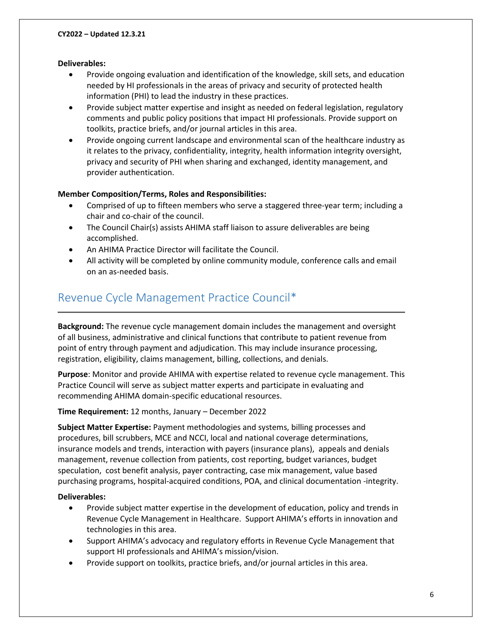#### **Deliverables:**

- Provide ongoing evaluation and identification of the knowledge, skill sets, and education needed by HI professionals in the areas of privacy and security of protected health information (PHI) to lead the industry in these practices.
- Provide subject matter expertise and insight as needed on federal legislation, regulatory comments and public policy positions that impact HI professionals. Provide support on toolkits, practice briefs, and/or journal articles in this area.
- Provide ongoing current landscape and environmental scan of the healthcare industry as it relates to the privacy, confidentiality, integrity, health information integrity oversight, privacy and security of PHI when sharing and exchanged, identity management, and provider authentication.

#### **Member Composition/Terms, Roles and Responsibilities:**

- Comprised of up to fifteen members who serve a staggered three-year term; including a chair and co-chair of the council.
- The Council Chair(s) assists AHIMA staff liaison to assure deliverables are being accomplished.
- An AHIMA Practice Director will facilitate the Council.
- All activity will be completed by online community module, conference calls and email on an as-needed basis.

# <span id="page-5-0"></span>Revenue Cycle Management Practice Council\*

**Background:** The revenue cycle management domain includes the management and oversight of all business, administrative and clinical functions that contribute to patient revenue from point of entry through payment and adjudication. This may include insurance processing, registration, eligibility, claims management, billing, collections, and denials.

**Purpose**: Monitor and provide AHIMA with expertise related to revenue cycle management. This Practice Council will serve as subject matter experts and participate in evaluating and recommending AHIMA domain-specific educational resources.

**Time Requirement:** 12 months, January – December 2022

**Subject Matter Expertise:** Payment methodologies and systems, billing processes and procedures, bill scrubbers, MCE and NCCI, local and national coverage determinations, insurance models and trends, interaction with payers (insurance plans), appeals and denials management, revenue collection from patients, cost reporting, budget variances, budget speculation, cost benefit analysis, payer contracting, case mix management, value based purchasing programs, hospital-acquired conditions, POA, and clinical documentation -integrity.

#### **Deliverables:**

- Provide subject matter expertise in the development of education, policy and trends in Revenue Cycle Management in Healthcare. Support AHIMA's efforts in innovation and technologies in this area.
- Support AHIMA's advocacy and regulatory efforts in Revenue Cycle Management that support HI professionals and AHIMA's mission/vision.
- Provide support on toolkits, practice briefs, and/or journal articles in this area.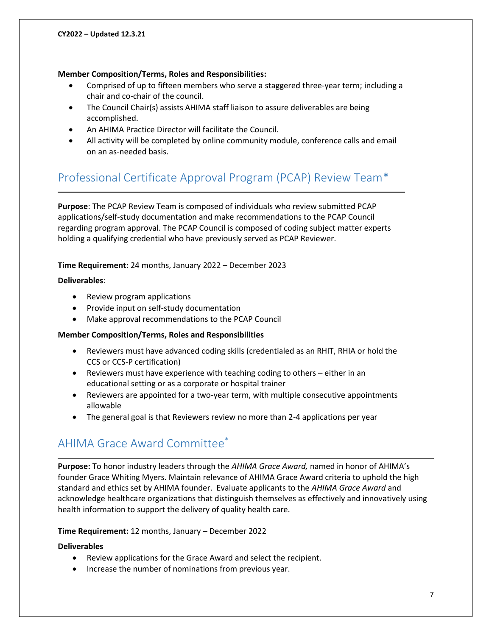#### **Member Composition/Terms, Roles and Responsibilities:**

- Comprised of up to fifteen members who serve a staggered three-year term; including a chair and co-chair of the council.
- The Council Chair(s) assists AHIMA staff liaison to assure deliverables are being accomplished.
- An AHIMA Practice Director will facilitate the Council.
- All activity will be completed by online community module, conference calls and email on an as-needed basis.

# <span id="page-6-0"></span>Professional Certificate Approval Program (PCAP) Review Team\*

**Purpose**: The PCAP Review Team is composed of individuals who review submitted PCAP applications/self-study documentation and make recommendations to the PCAP Council regarding program approval. The PCAP Council is composed of coding subject matter experts holding a qualifying credential who have previously served as PCAP Reviewer.

#### **Time Requirement:** 24 months, January 2022 – December 2023

#### **Deliverables**:

- Review program applications
- Provide input on self-study documentation
- Make approval recommendations to the PCAP Council

#### **Member Composition/Terms, Roles and Responsibilities**

- Reviewers must have advanced coding skills (credentialed as an RHIT, RHIA or hold the CCS or CCS-P certification)
- Reviewers must have experience with teaching coding to others either in an educational setting or as a corporate or hospital trainer
- Reviewers are appointed for a two-year term, with multiple consecutive appointments allowable
- The general goal is that Reviewers review no more than 2-4 applications per year

# <span id="page-6-1"></span>AHIMA Grace Award Committee\*

**Purpose:** To honor industry leaders through the *AHIMA Grace Award,* named in honor of AHIMA's founder Grace Whiting Myers. Maintain relevance of AHIMA Grace Award criteria to uphold the high standard and ethics set by AHIMA founder. Evaluate applicants to the *AHIMA Grace Award* and acknowledge healthcare organizations that distinguish themselves as effectively and innovatively using health information to support the delivery of quality health care.

#### **Time Requirement:** 12 months, January – December 2022

#### **Deliverables**

- Review applications for the Grace Award and select the recipient.
- Increase the number of nominations from previous year.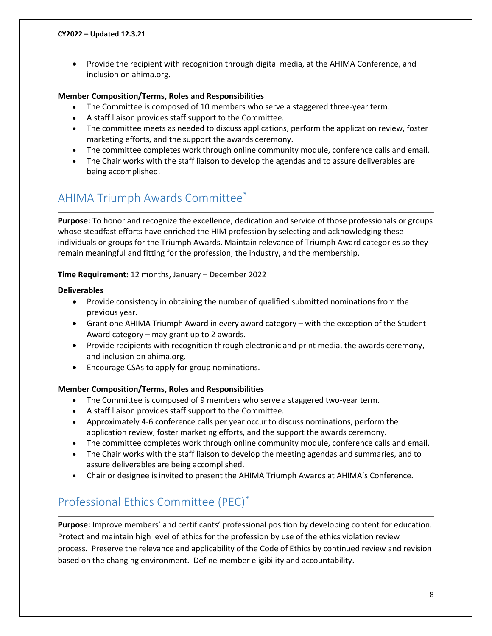• Provide the recipient with recognition through digital media, at the AHIMA Conference, and inclusion on ahima.org.

#### **Member Composition/Terms, Roles and Responsibilities**

- The Committee is composed of 10 members who serve a staggered three-year term.
- A staff liaison provides staff support to the Committee.
- The committee meets as needed to discuss applications, perform the application review, foster marketing efforts, and the support the awards ceremony.
- The committee completes work through online community module, conference calls and email.
- The Chair works with the staff liaison to develop the agendas and to assure deliverables are being accomplished.

# <span id="page-7-0"></span>AHIMA Triumph Awards Committee\*

**Purpose:** To honor and recognize the excellence, dedication and service of those professionals or groups whose steadfast efforts have enriched the HIM profession by selecting and acknowledging these individuals or groups for the Triumph Awards. Maintain relevance of Triumph Award categories so they remain meaningful and fitting for the profession, the industry, and the membership.

#### **Time Requirement:** 12 months, January – December 2022

#### **Deliverables**

- Provide consistency in obtaining the number of qualified submitted nominations from the previous year.
- Grant one AHIMA Triumph Award in every award category with the exception of the Student Award category – may grant up to 2 awards.
- Provide recipients with recognition through electronic and print media, the awards ceremony, and inclusion on ahima.org.
- Encourage CSAs to apply for group nominations.

#### **Member Composition/Terms, Roles and Responsibilities**

- The Committee is composed of 9 members who serve a staggered two-year term.
- A staff liaison provides staff support to the Committee.
- Approximately 4-6 conference calls per year occur to discuss nominations, perform the application review, foster marketing efforts, and the support the awards ceremony.
- The committee completes work through online community module, conference calls and email.
- The Chair works with the staff liaison to develop the meeting agendas and summaries, and to assure deliverables are being accomplished.
- Chair or designee is invited to present the AHIMA Triumph Awards at AHIMA's Conference.

# <span id="page-7-1"></span>Professional Ethics Committee (PEC)\*

**Purpose:** Improve members' and certificants' professional position by developing content for education. Protect and maintain high level of ethics for the profession by use of the ethics violation review process. Preserve the relevance and applicability of the Code of Ethics by continued review and revision based on the changing environment. Define member eligibility and accountability.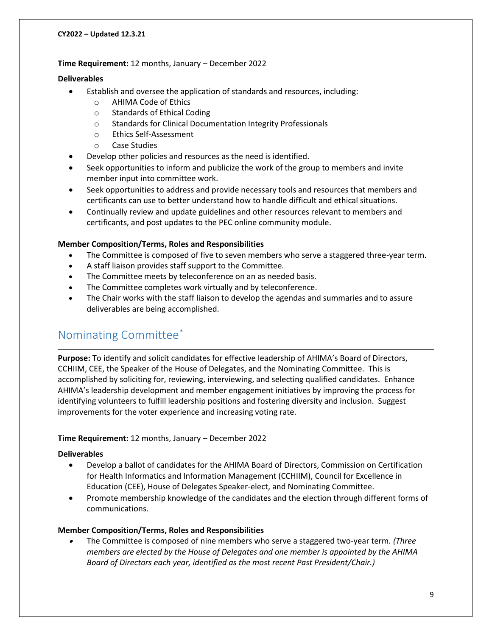#### **Time Requirement:** 12 months, January – December 2022

#### **Deliverables**

- Establish and oversee the application of standards and resources, including:
	- o AHIMA Code of Ethics
	- o Standards of Ethical Coding
	- o Standards for Clinical Documentation Integrity Professionals
	- o Ethics Self-Assessment
	- o Case Studies
	- Develop other policies and resources as the need is identified.
- Seek opportunities to inform and publicize the work of the group to members and invite member input into committee work.
- Seek opportunities to address and provide necessary tools and resources that members and certificants can use to better understand how to handle difficult and ethical situations.
- Continually review and update guidelines and other resources relevant to members and certificants, and post updates to the PEC online community module.

#### **Member Composition/Terms, Roles and Responsibilities**

- The Committee is composed of five to seven members who serve a staggered three-year term.
- A staff liaison provides staff support to the Committee.
- The Committee meets by teleconference on an as needed basis.
- The Committee completes work virtually and by teleconference.
- The Chair works with the staff liaison to develop the agendas and summaries and to assure deliverables are being accomplished.

# <span id="page-8-0"></span>Nominating Committee\*

**Purpose:** To identify and solicit candidates for effective leadership of AHIMA's Board of Directors, CCHIIM, CEE, the Speaker of the House of Delegates, and the Nominating Committee. This is accomplished by soliciting for, reviewing, interviewing, and selecting qualified candidates. Enhance AHIMA's leadership development and member engagement initiatives by improving the process for identifying volunteers to fulfill leadership positions and fostering diversity and inclusion. Suggest improvements for the voter experience and increasing voting rate.

#### **Time Requirement:** 12 months, January – December 2022

#### **Deliverables**

- Develop a ballot of candidates for the AHIMA Board of Directors, Commission on Certification for Health Informatics and Information Management (CCHIIM), Council for Excellence in Education (CEE), House of Delegates Speaker-elect, and Nominating Committee.
- Promote membership knowledge of the candidates and the election through different forms of communications.

#### **Member Composition/Terms, Roles and Responsibilities**

• The Committee is composed of nine members who serve a staggered two-year term*. (Three members are elected by the House of Delegates and one member is appointed by the AHIMA Board of Directors each year, identified as the most recent Past President/Chair.)*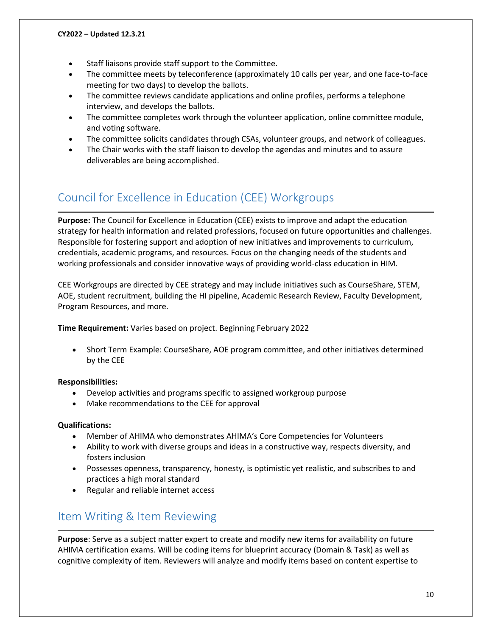- Staff liaisons provide staff support to the Committee.
- The committee meets by teleconference (approximately 10 calls per year, and one face-to-face meeting for two days) to develop the ballots.
- The committee reviews candidate applications and online profiles, performs a telephone interview, and develops the ballots.
- The committee completes work through the volunteer application, online committee module, and voting software.
- The committee solicits candidates through CSAs, volunteer groups, and network of colleagues.
- The Chair works with the staff liaison to develop the agendas and minutes and to assure deliverables are being accomplished.

# <span id="page-9-0"></span>Council for Excellence in Education (CEE) Workgroups

**Purpose:** The Council for Excellence in Education (CEE) exists to improve and adapt the education strategy for health information and related professions, focused on future opportunities and challenges. Responsible for fostering support and adoption of new initiatives and improvements to curriculum, credentials, academic programs, and resources. Focus on the changing needs of the students and working professionals and consider innovative ways of providing world-class education in HIM.

CEE Workgroups are directed by CEE strategy and may include initiatives such as CourseShare, STEM, AOE, student recruitment, building the HI pipeline, Academic Research Review, Faculty Development, Program Resources, and more.

**Time Requirement:** Varies based on project. Beginning February 2022

• Short Term Example: CourseShare, AOE program committee, and other initiatives determined by the CEE

#### **Responsibilities:**

- Develop activities and programs specific to assigned workgroup purpose
- Make recommendations to the CEE for approval

#### **Qualifications:**

- Member of AHIMA who demonstrates AHIMA's Core Competencies for Volunteers
- Ability to work with diverse groups and ideas in a constructive way, respects diversity, and fosters inclusion
- Possesses openness, transparency, honesty, is optimistic yet realistic, and subscribes to and practices a high moral standard
- Regular and reliable internet access

# <span id="page-9-1"></span>Item Writing & Item Reviewing

**Purpose**: Serve as a subject matter expert to create and modify new items for availability on future AHIMA certification exams. Will be coding items for blueprint accuracy (Domain & Task) as well as cognitive complexity of item. Reviewers will analyze and modify items based on content expertise to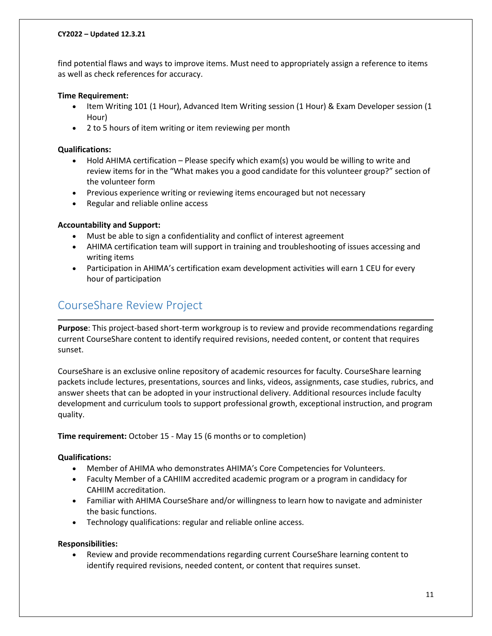find potential flaws and ways to improve items. Must need to appropriately assign a reference to items as well as check references for accuracy.

#### **Time Requirement:**

- Item Writing 101 (1 Hour), Advanced Item Writing session (1 Hour) & Exam Developer session (1 Hour)
- 2 to 5 hours of item writing or item reviewing per month

#### **Qualifications:**

- Hold AHIMA certification Please specify which exam(s) you would be willing to write and review items for in the "What makes you a good candidate for this volunteer group?" section of the volunteer form
- Previous experience writing or reviewing items encouraged but not necessary
- Regular and reliable online access

#### **Accountability and Support:**

- Must be able to sign a confidentiality and conflict of interest agreement
- AHIMA certification team will support in training and troubleshooting of issues accessing and writing items
- Participation in AHIMA's certification exam development activities will earn 1 CEU for every hour of participation

# <span id="page-10-0"></span>CourseShare Review Project

**Purpose**: This project-based short-term workgroup is to review and provide recommendations regarding current CourseShare content to identify required revisions, needed content, or content that requires sunset.

CourseShare is an exclusive online repository of academic resources for faculty. CourseShare learning packets include lectures, presentations, sources and links, videos, assignments, case studies, rubrics, and answer sheets that can be adopted in your instructional delivery. Additional resources include faculty development and curriculum tools to support professional growth, exceptional instruction, and program quality.

**Time requirement:** October 15 - May 15 (6 months or to completion)

#### **Qualifications:**

- Member of AHIMA who demonstrates AHIMA's Core Competencies for Volunteers.
- Faculty Member of a CAHIIM accredited academic program or a program in candidacy for CAHIIM accreditation.
- Familiar with AHIMA CourseShare and/or willingness to learn how to navigate and administer the basic functions.
- Technology qualifications: regular and reliable online access.

#### **Responsibilities:**

• Review and provide recommendations regarding current CourseShare learning content to identify required revisions, needed content, or content that requires sunset.